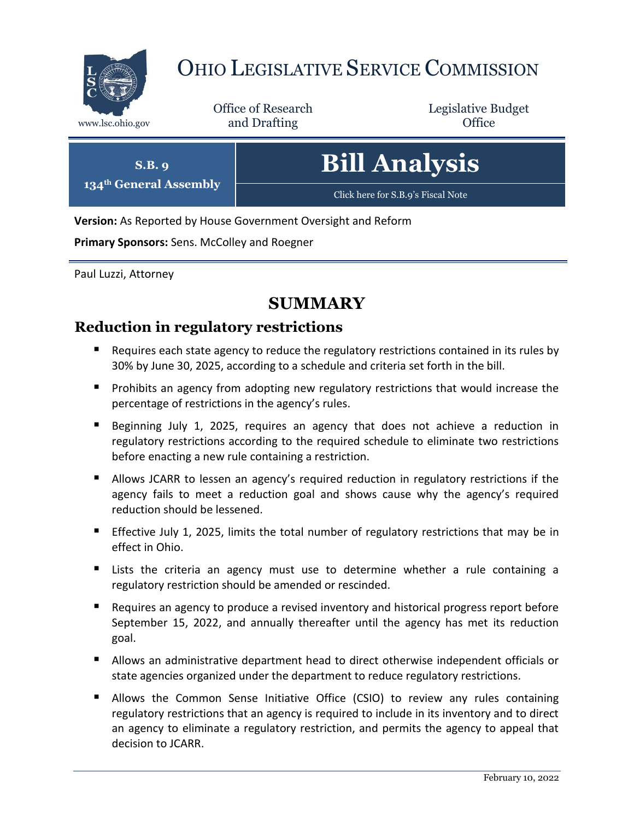

# OHIO LEGISLATIVE SERVICE COMMISSION

Office of Research www.lsc.ohio.gov **and Drafting Office** 

Legislative Budget

| S.B. q                             | <b>Bill Analysis</b>               |
|------------------------------------|------------------------------------|
| 134 <sup>th</sup> General Assembly | Click here for S.B.9's Fiscal Note |

**Version:** As Reported by House Government Oversight and Reform

**Primary Sponsors:** Sens. McColley and Roegner

Paul Luzzi, Attorney

# **SUMMARY**

# **Reduction in regulatory restrictions**

- Requires each state agency to reduce the regulatory restrictions contained in its rules by 30% by June 30, 2025, according to a schedule and criteria set forth in the bill.
- **Prohibits an agency from adopting new regulatory restrictions that would increase the** percentage of restrictions in the agency's rules.
- Beginning July 1, 2025, requires an agency that does not achieve a reduction in regulatory restrictions according to the required schedule to eliminate two restrictions before enacting a new rule containing a restriction.
- Allows JCARR to lessen an agency's required reduction in regulatory restrictions if the agency fails to meet a reduction goal and shows cause why the agency's required reduction should be lessened.
- **Effective July 1, 2025, limits the total number of regulatory restrictions that may be in** effect in Ohio.
- Lists the criteria an agency must use to determine whether a rule containing a regulatory restriction should be amended or rescinded.
- **Requires an agency to produce a revised inventory and historical progress report before** September 15, 2022, and annually thereafter until the agency has met its reduction goal.
- **Allows an administrative department head to direct otherwise independent officials or** state agencies organized under the department to reduce regulatory restrictions.
- **Allows the Common Sense Initiative Office (CSIO) to review any rules containing** regulatory restrictions that an agency is required to include in its inventory and to direct an agency to eliminate a regulatory restriction, and permits the agency to appeal that decision to JCARR.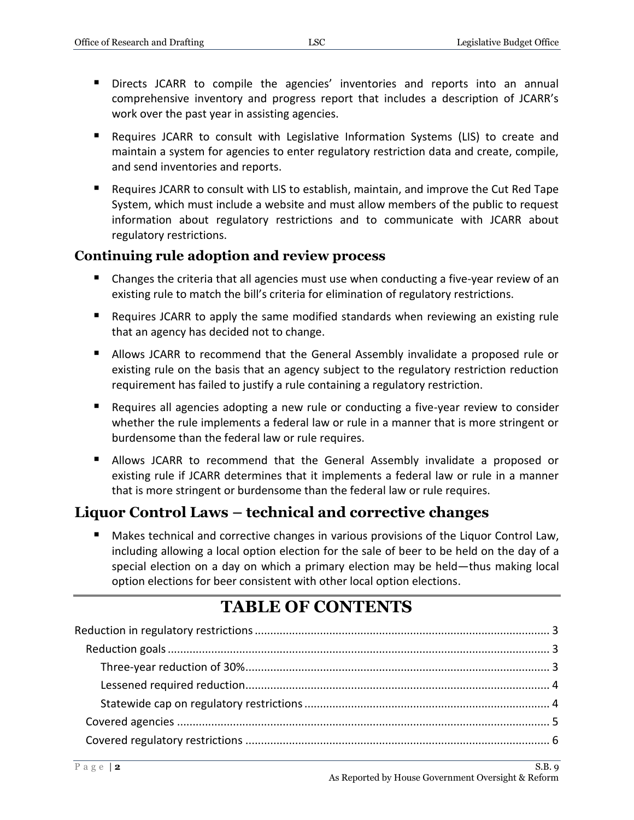- Directs JCARR to compile the agencies' inventories and reports into an annual comprehensive inventory and progress report that includes a description of JCARR's work over the past year in assisting agencies.
- Requires JCARR to consult with Legislative Information Systems (LIS) to create and maintain a system for agencies to enter regulatory restriction data and create, compile, and send inventories and reports.
- Requires JCARR to consult with LIS to establish, maintain, and improve the Cut Red Tape System, which must include a website and must allow members of the public to request information about regulatory restrictions and to communicate with JCARR about regulatory restrictions.

### **Continuing rule adoption and review process**

- Changes the criteria that all agencies must use when conducting a five-year review of an existing rule to match the bill's criteria for elimination of regulatory restrictions.
- Requires JCARR to apply the same modified standards when reviewing an existing rule that an agency has decided not to change.
- Allows JCARR to recommend that the General Assembly invalidate a proposed rule or existing rule on the basis that an agency subject to the regulatory restriction reduction requirement has failed to justify a rule containing a regulatory restriction.
- Requires all agencies adopting a new rule or conducting a five-year review to consider whether the rule implements a federal law or rule in a manner that is more stringent or burdensome than the federal law or rule requires.
- Allows JCARR to recommend that the General Assembly invalidate a proposed or existing rule if JCARR determines that it implements a federal law or rule in a manner that is more stringent or burdensome than the federal law or rule requires.

# **Liquor Control Laws – technical and corrective changes**

 Makes technical and corrective changes in various provisions of the Liquor Control Law, including allowing a local option election for the sale of beer to be held on the day of a special election on a day on which a primary election may be held—thus making local option elections for beer consistent with other local option elections.

# **TABLE OF CONTENTS**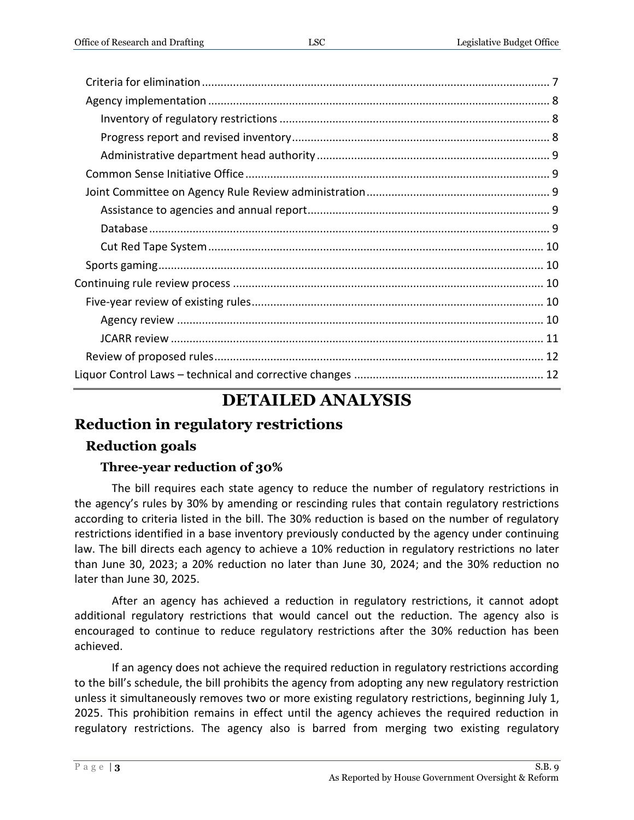# **DETAILED ANALYSIS**

Liquor Control Laws – technical and corrective changes [.............................................................](#page-11-1) 12

# <span id="page-2-0"></span>**Reduction in regulatory restrictions**

# <span id="page-2-1"></span>**Reduction goals**

# **Three-year reduction of 30%**

<span id="page-2-2"></span>The bill requires each state agency to reduce the number of regulatory restrictions in the agency's rules by 30% by amending or rescinding rules that contain regulatory restrictions according to criteria listed in the bill. The 30% reduction is based on the number of regulatory restrictions identified in a base inventory previously conducted by the agency under continuing law. The bill directs each agency to achieve a 10% reduction in regulatory restrictions no later than June 30, 2023; a 20% reduction no later than June 30, 2024; and the 30% reduction no later than June 30, 2025.

After an agency has achieved a reduction in regulatory restrictions, it cannot adopt additional regulatory restrictions that would cancel out the reduction. The agency also is encouraged to continue to reduce regulatory restrictions after the 30% reduction has been achieved.

If an agency does not achieve the required reduction in regulatory restrictions according to the bill's schedule, the bill prohibits the agency from adopting any new regulatory restriction unless it simultaneously removes two or more existing regulatory restrictions, beginning July 1, 2025. This prohibition remains in effect until the agency achieves the required reduction in regulatory restrictions. The agency also is barred from merging two existing regulatory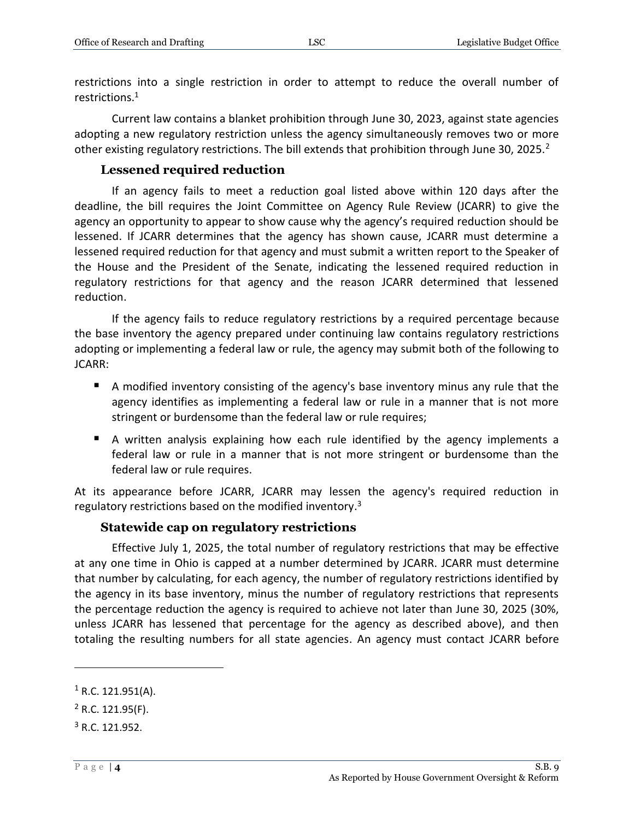restrictions into a single restriction in order to attempt to reduce the overall number of restrictions.<sup>1</sup>

Current law contains a blanket prohibition through June 30, 2023, against state agencies adopting a new regulatory restriction unless the agency simultaneously removes two or more other existing regulatory restrictions. The bill extends that prohibition through June 30, 2025.<sup>2</sup>

#### **Lessened required reduction**

<span id="page-3-0"></span>If an agency fails to meet a reduction goal listed above within 120 days after the deadline, the bill requires the Joint Committee on Agency Rule Review (JCARR) to give the agency an opportunity to appear to show cause why the agency's required reduction should be lessened. If JCARR determines that the agency has shown cause, JCARR must determine a lessened required reduction for that agency and must submit a written report to the Speaker of the House and the President of the Senate, indicating the lessened required reduction in regulatory restrictions for that agency and the reason JCARR determined that lessened reduction.

If the agency fails to reduce regulatory restrictions by a required percentage because the base inventory the agency prepared under continuing law contains regulatory restrictions adopting or implementing a federal law or rule, the agency may submit both of the following to JCARR:

- A modified inventory consisting of the agency's base inventory minus any rule that the agency identifies as implementing a federal law or rule in a manner that is not more stringent or burdensome than the federal law or rule requires;
- A written analysis explaining how each rule identified by the agency implements a federal law or rule in a manner that is not more stringent or burdensome than the federal law or rule requires.

At its appearance before JCARR, JCARR may lessen the agency's required reduction in regulatory restrictions based on the modified inventory.<sup>3</sup>

#### **Statewide cap on regulatory restrictions**

<span id="page-3-1"></span>Effective July 1, 2025, the total number of regulatory restrictions that may be effective at any one time in Ohio is capped at a number determined by JCARR. JCARR must determine that number by calculating, for each agency, the number of regulatory restrictions identified by the agency in its base inventory, minus the number of regulatory restrictions that represents the percentage reduction the agency is required to achieve not later than June 30, 2025 (30%, unless JCARR has lessened that percentage for the agency as described above), and then totaling the resulting numbers for all state agencies. An agency must contact JCARR before

 $1$  R.C. 121.951(A).

 $2$  R.C. 121.95(F).

 $3$  R.C. 121.952.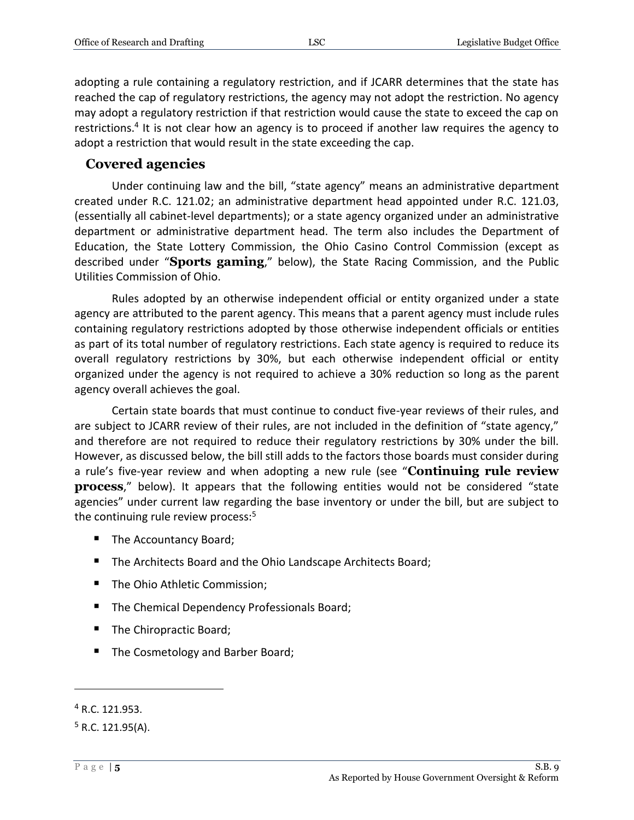adopting a rule containing a regulatory restriction, and if JCARR determines that the state has reached the cap of regulatory restrictions, the agency may not adopt the restriction. No agency may adopt a regulatory restriction if that restriction would cause the state to exceed the cap on restrictions.<sup>4</sup> It is not clear how an agency is to proceed if another law requires the agency to adopt a restriction that would result in the state exceeding the cap.

### <span id="page-4-0"></span>**Covered agencies**

Under continuing law and the bill, "state agency" means an administrative department created under R.C. 121.02; an administrative department head appointed under R.C. 121.03, (essentially all cabinet-level departments); or a state agency organized under an administrative department or administrative department head. The term also includes the Department of Education, the State Lottery Commission, the Ohio Casino Control Commission (except as described under "**Sports gaming**," below), the State Racing Commission, and the Public Utilities Commission of Ohio.

Rules adopted by an otherwise independent official or entity organized under a state agency are attributed to the parent agency. This means that a parent agency must include rules containing regulatory restrictions adopted by those otherwise independent officials or entities as part of its total number of regulatory restrictions. Each state agency is required to reduce its overall regulatory restrictions by 30%, but each otherwise independent official or entity organized under the agency is not required to achieve a 30% reduction so long as the parent agency overall achieves the goal.

Certain state boards that must continue to conduct five-year reviews of their rules, and are subject to JCARR review of their rules, are not included in the definition of "state agency," and therefore are not required to reduce their regulatory restrictions by 30% under the bill. However, as discussed below, the bill still adds to the factors those boards must consider during a rule's five-year review and when adopting a new rule (see "**Continuing rule review process**," below). It appears that the following entities would not be considered "state agencies" under current law regarding the base inventory or under the bill, but are subject to the continuing rule review process: $5$ 

- The Accountancy Board;
- The Architects Board and the Ohio Landscape Architects Board;
- The Ohio Athletic Commission;
- The Chemical Dependency Professionals Board;
- The Chiropractic Board;
- The Cosmetology and Barber Board;

<sup>4</sup> R.C. 121.953.

 $5$  R.C. 121.95(A).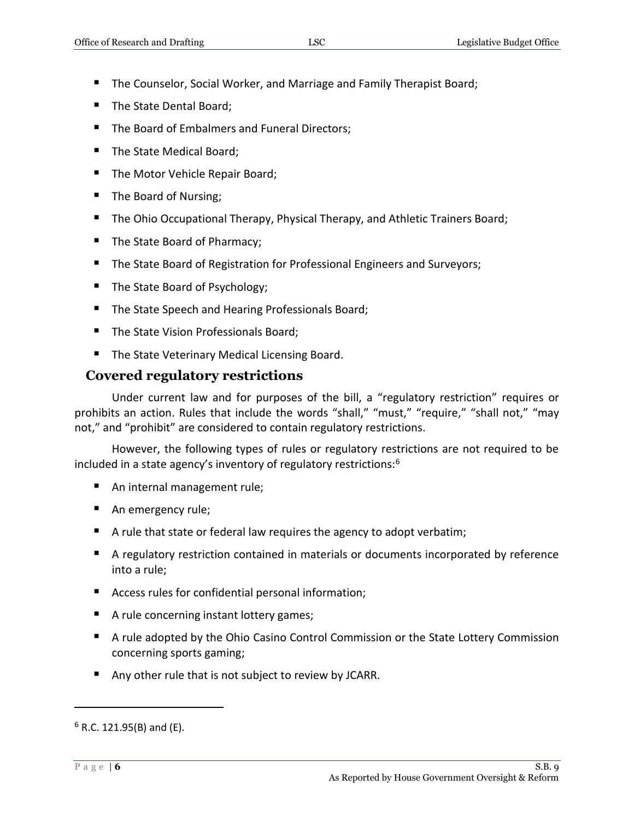- The Counselor, Social Worker, and Marriage and Family Therapist Board;
- The State Dental Board;
- The Board of Embalmers and Funeral Directors;
- The State Medical Board;
- The Motor Vehicle Repair Board;
- The Board of Nursing;
- **The Ohio Occupational Therapy, Physical Therapy, and Athletic Trainers Board;**
- The State Board of Pharmacy;
- The State Board of Registration for Professional Engineers and Surveyors;
- The State Board of Psychology;
- The State Speech and Hearing Professionals Board;
- The State Vision Professionals Board;
- The State Veterinary Medical Licensing Board.

# <span id="page-5-0"></span>**Covered regulatory restrictions**

Under current law and for purposes of the bill, a "regulatory restriction" requires or prohibits an action. Rules that include the words "shall," "must," "require," "shall not," "may not," and "prohibit" are considered to contain regulatory restrictions.

However, the following types of rules or regulatory restrictions are not required to be included in a state agency's inventory of regulatory restrictions:<sup>6</sup>

- An internal management rule;
- An emergency rule;
- A rule that state or federal law requires the agency to adopt verbatim;
- A regulatory restriction contained in materials or documents incorporated by reference into a rule;
- Access rules for confidential personal information;
- A rule concerning instant lottery games;
- A rule adopted by the Ohio Casino Control Commission or the State Lottery Commission concerning sports gaming;
- Any other rule that is not subject to review by JCARR.

 $6$  R.C. 121.95(B) and (E).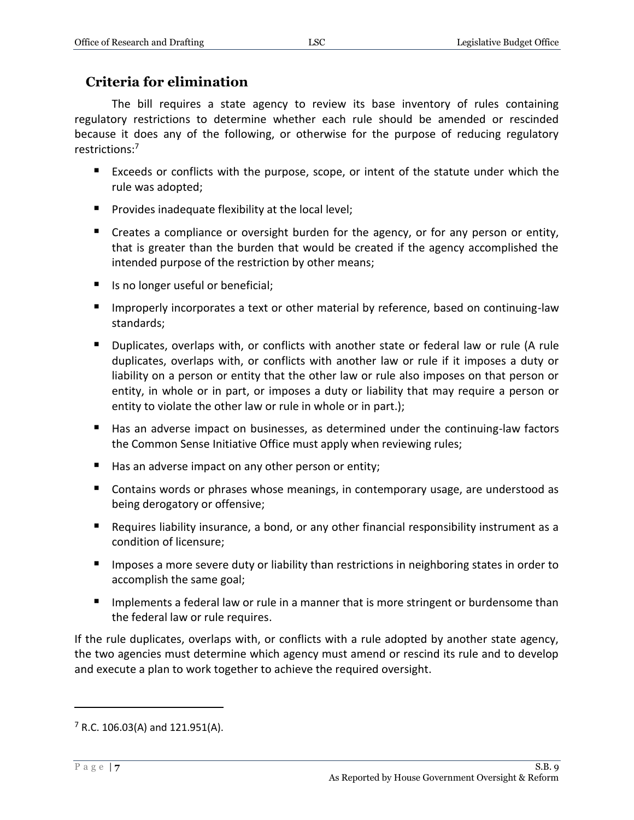# <span id="page-6-0"></span>**Criteria for elimination**

The bill requires a state agency to review its base inventory of rules containing regulatory restrictions to determine whether each rule should be amended or rescinded because it does any of the following, or otherwise for the purpose of reducing regulatory restrictions:<sup>7</sup>

- Exceeds or conflicts with the purpose, scope, or intent of the statute under which the rule was adopted;
- **Provides inadequate flexibility at the local level;**
- **E** Creates a compliance or oversight burden for the agency, or for any person or entity, that is greater than the burden that would be created if the agency accomplished the intended purpose of the restriction by other means;
- Is no longer useful or beneficial;
- **IMP** Improperly incorporates a text or other material by reference, based on continuing-law standards;
- **Duplicates, overlaps with, or conflicts with another state or federal law or rule (A rule** duplicates, overlaps with, or conflicts with another law or rule if it imposes a duty or liability on a person or entity that the other law or rule also imposes on that person or entity, in whole or in part, or imposes a duty or liability that may require a person or entity to violate the other law or rule in whole or in part.);
- Has an adverse impact on businesses, as determined under the continuing-law factors the Common Sense Initiative Office must apply when reviewing rules;
- Has an adverse impact on any other person or entity;
- **Contains words or phrases whose meanings, in contemporary usage, are understood as** being derogatory or offensive;
- Requires liability insurance, a bond, or any other financial responsibility instrument as a condition of licensure;
- **IMPOLER 2.5 Imposes a more severe duty or liability than restrictions in neighboring states in order to** accomplish the same goal;
- Implements a federal law or rule in a manner that is more stringent or burdensome than the federal law or rule requires.

If the rule duplicates, overlaps with, or conflicts with a rule adopted by another state agency, the two agencies must determine which agency must amend or rescind its rule and to develop and execute a plan to work together to achieve the required oversight.

 $7$  R.C. 106.03(A) and 121.951(A).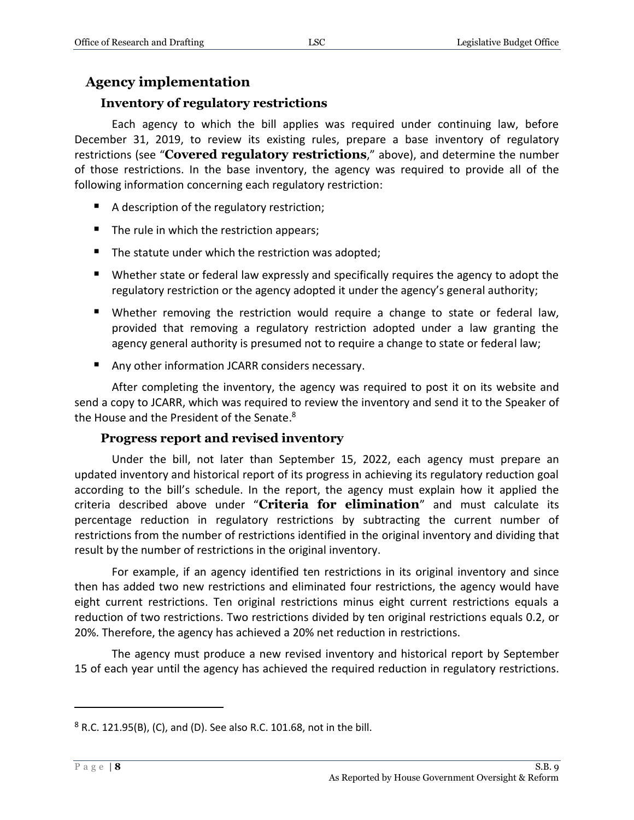### <span id="page-7-0"></span>**Agency implementation**

#### **Inventory of regulatory restrictions**

<span id="page-7-1"></span>Each agency to which the bill applies was required under continuing law, before December 31, 2019, to review its existing rules, prepare a base inventory of regulatory restrictions (see "**Covered regulatory restrictions**," above), and determine the number of those restrictions. In the base inventory, the agency was required to provide all of the following information concerning each regulatory restriction:

- A description of the regulatory restriction;
- $\blacksquare$  The rule in which the restriction appears;
- $\blacksquare$  The statute under which the restriction was adopted;
- Whether state or federal law expressly and specifically requires the agency to adopt the regulatory restriction or the agency adopted it under the agency's general authority;
- **Whether removing the restriction would require a change to state or federal law,** provided that removing a regulatory restriction adopted under a law granting the agency general authority is presumed not to require a change to state or federal law;
- Any other information JCARR considers necessary.

After completing the inventory, the agency was required to post it on its website and send a copy to JCARR, which was required to review the inventory and send it to the Speaker of the House and the President of the Senate.<sup>8</sup>

#### **Progress report and revised inventory**

<span id="page-7-2"></span>Under the bill, not later than September 15, 2022, each agency must prepare an updated inventory and historical report of its progress in achieving its regulatory reduction goal according to the bill's schedule. In the report, the agency must explain how it applied the criteria described above under "**Criteria for elimination**" and must calculate its percentage reduction in regulatory restrictions by subtracting the current number of restrictions from the number of restrictions identified in the original inventory and dividing that result by the number of restrictions in the original inventory.

For example, if an agency identified ten restrictions in its original inventory and since then has added two new restrictions and eliminated four restrictions, the agency would have eight current restrictions. Ten original restrictions minus eight current restrictions equals a reduction of two restrictions. Two restrictions divided by ten original restrictions equals 0.2, or 20%. Therefore, the agency has achieved a 20% net reduction in restrictions.

The agency must produce a new revised inventory and historical report by September 15 of each year until the agency has achieved the required reduction in regulatory restrictions.

 $8$  R.C. 121.95(B), (C), and (D). See also R.C. 101.68, not in the bill.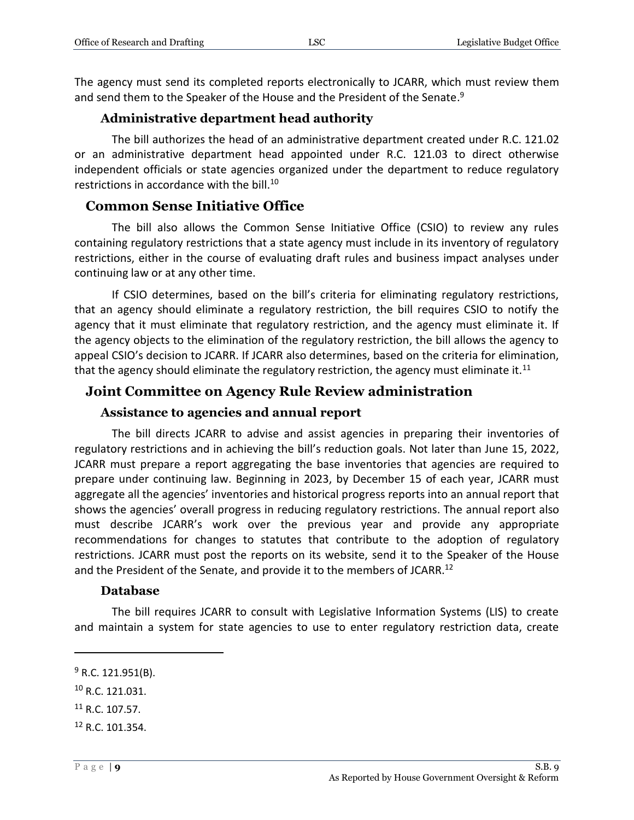The agency must send its completed reports electronically to JCARR, which must review them and send them to the Speaker of the House and the President of the Senate.<sup>9</sup>

### **Administrative department head authority**

<span id="page-8-0"></span>The bill authorizes the head of an administrative department created under R.C. 121.02 or an administrative department head appointed under R.C. 121.03 to direct otherwise independent officials or state agencies organized under the department to reduce regulatory restrictions in accordance with the bill.<sup>10</sup>

### <span id="page-8-1"></span>**Common Sense Initiative Office**

The bill also allows the Common Sense Initiative Office (CSIO) to review any rules containing regulatory restrictions that a state agency must include in its inventory of regulatory restrictions, either in the course of evaluating draft rules and business impact analyses under continuing law or at any other time.

If CSIO determines, based on the bill's criteria for eliminating regulatory restrictions, that an agency should eliminate a regulatory restriction, the bill requires CSIO to notify the agency that it must eliminate that regulatory restriction, and the agency must eliminate it. If the agency objects to the elimination of the regulatory restriction, the bill allows the agency to appeal CSIO's decision to JCARR. If JCARR also determines, based on the criteria for elimination, that the agency should eliminate the regulatory restriction, the agency must eliminate it.<sup>11</sup>

# <span id="page-8-2"></span>**Joint Committee on Agency Rule Review administration**

#### **Assistance to agencies and annual report**

<span id="page-8-3"></span>The bill directs JCARR to advise and assist agencies in preparing their inventories of regulatory restrictions and in achieving the bill's reduction goals. Not later than June 15, 2022, JCARR must prepare a report aggregating the base inventories that agencies are required to prepare under continuing law. Beginning in 2023, by December 15 of each year, JCARR must aggregate all the agencies' inventories and historical progress reports into an annual report that shows the agencies' overall progress in reducing regulatory restrictions. The annual report also must describe JCARR's work over the previous year and provide any appropriate recommendations for changes to statutes that contribute to the adoption of regulatory restrictions. JCARR must post the reports on its website, send it to the Speaker of the House and the President of the Senate, and provide it to the members of JCARR.<sup>12</sup>

#### **Database**

<span id="page-8-4"></span>The bill requires JCARR to consult with Legislative Information Systems (LIS) to create and maintain a system for state agencies to use to enter regulatory restriction data, create

 $9$  R.C. 121.951(B).

 $10$  R.C. 121.031.

 $11$  R.C. 107.57.

<sup>12</sup> R.C. 101.354.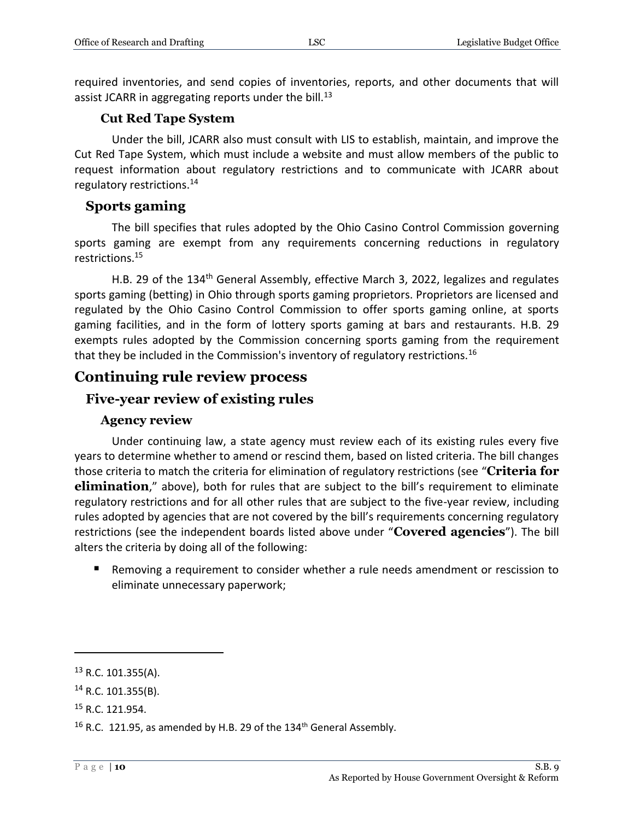required inventories, and send copies of inventories, reports, and other documents that will assist JCARR in aggregating reports under the bill.<sup>13</sup>

#### **Cut Red Tape System**

<span id="page-9-0"></span>Under the bill, JCARR also must consult with LIS to establish, maintain, and improve the Cut Red Tape System, which must include a website and must allow members of the public to request information about regulatory restrictions and to communicate with JCARR about regulatory restrictions.<sup>14</sup>

#### <span id="page-9-1"></span>**Sports gaming**

The bill specifies that rules adopted by the Ohio Casino Control Commission governing sports gaming are exempt from any requirements concerning reductions in regulatory restrictions.<sup>15</sup>

H.B. 29 of the 134<sup>th</sup> General Assembly, effective March 3, 2022, legalizes and regulates sports gaming (betting) in Ohio through sports gaming proprietors. Proprietors are licensed and regulated by the Ohio Casino Control Commission to offer sports gaming online, at sports gaming facilities, and in the form of lottery sports gaming at bars and restaurants. H.B. 29 exempts rules adopted by the Commission concerning sports gaming from the requirement that they be included in the Commission's inventory of regulatory restrictions.<sup>16</sup>

# <span id="page-9-2"></span>**Continuing rule review process**

### <span id="page-9-3"></span>**Five-year review of existing rules**

#### **Agency review**

<span id="page-9-4"></span>Under continuing law, a state agency must review each of its existing rules every five years to determine whether to amend or rescind them, based on listed criteria. The bill changes those criteria to match the criteria for elimination of regulatory restrictions (see "**Criteria for elimination**," above), both for rules that are subject to the bill's requirement to eliminate regulatory restrictions and for all other rules that are subject to the five-year review, including rules adopted by agencies that are not covered by the bill's requirements concerning regulatory restrictions (see the independent boards listed above under "**Covered agencies**"). The bill alters the criteria by doing all of the following:

 Removing a requirement to consider whether a rule needs amendment or rescission to eliminate unnecessary paperwork;

<sup>&</sup>lt;sup>13</sup> R.C. 101.355(A).

 $14$  R.C. 101.355(B).

<sup>15</sup> R.C. 121.954.

<sup>&</sup>lt;sup>16</sup> R.C. 121.95, as amended by H.B. 29 of the 134<sup>th</sup> General Assembly.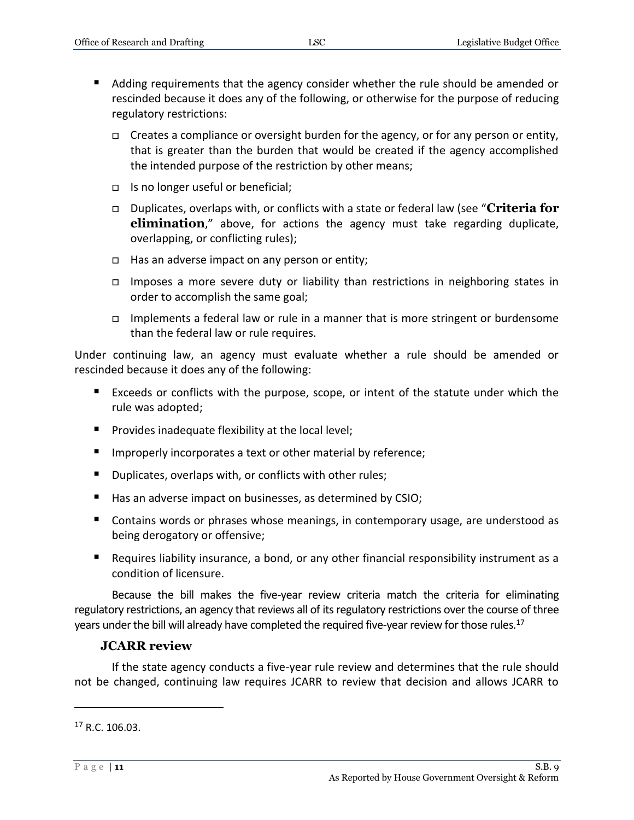- Adding requirements that the agency consider whether the rule should be amended or rescinded because it does any of the following, or otherwise for the purpose of reducing regulatory restrictions:
	- $\Box$  Creates a compliance or oversight burden for the agency, or for any person or entity, that is greater than the burden that would be created if the agency accomplished the intended purpose of the restriction by other means;
	- $\Box$  Is no longer useful or beneficial;
	- Duplicates, overlaps with, or conflicts with a state or federal law (see "**Criteria for elimination**," above, for actions the agency must take regarding duplicate, overlapping, or conflicting rules);
	- $\Box$  Has an adverse impact on any person or entity;
	- Imposes a more severe duty or liability than restrictions in neighboring states in order to accomplish the same goal;
	- □ Implements a federal law or rule in a manner that is more stringent or burdensome than the federal law or rule requires.

Under continuing law, an agency must evaluate whether a rule should be amended or rescinded because it does any of the following:

- Exceeds or conflicts with the purpose, scope, or intent of the statute under which the rule was adopted;
- $\blacksquare$  Provides inadequate flexibility at the local level;
- **IMPROPER 19 Improperly incorporates a text or other material by reference;**
- Duplicates, overlaps with, or conflicts with other rules;
- Has an adverse impact on businesses, as determined by CSIO;
- Contains words or phrases whose meanings, in contemporary usage, are understood as being derogatory or offensive;
- Requires liability insurance, a bond, or any other financial responsibility instrument as a condition of licensure.

Because the bill makes the five-year review criteria match the criteria for eliminating regulatory restrictions, an agency that reviews all of its regulatory restrictions over the course of three years under the bill will already have completed the required five-year review for those rules.<sup>17</sup>

#### **JCARR review**

<span id="page-10-0"></span>If the state agency conducts a five-year rule review and determines that the rule should not be changed, continuing law requires JCARR to review that decision and allows JCARR to

 $17$  R.C. 106.03.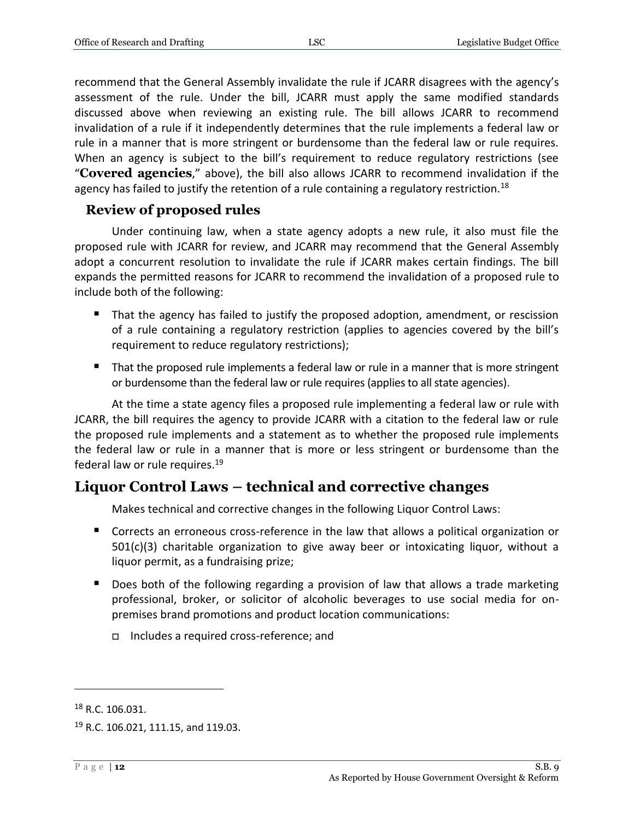recommend that the General Assembly invalidate the rule if JCARR disagrees with the agency's assessment of the rule. Under the bill, JCARR must apply the same modified standards discussed above when reviewing an existing rule. The bill allows JCARR to recommend invalidation of a rule if it independently determines that the rule implements a federal law or rule in a manner that is more stringent or burdensome than the federal law or rule requires. When an agency is subject to the bill's requirement to reduce regulatory restrictions (see "**Covered agencies**," above), the bill also allows JCARR to recommend invalidation if the agency has failed to justify the retention of a rule containing a regulatory restriction.<sup>18</sup>

### <span id="page-11-0"></span>**Review of proposed rules**

Under continuing law, when a state agency adopts a new rule, it also must file the proposed rule with JCARR for review, and JCARR may recommend that the General Assembly adopt a concurrent resolution to invalidate the rule if JCARR makes certain findings. The bill expands the permitted reasons for JCARR to recommend the invalidation of a proposed rule to include both of the following:

- That the agency has failed to justify the proposed adoption, amendment, or rescission of a rule containing a regulatory restriction (applies to agencies covered by the bill's requirement to reduce regulatory restrictions);
- That the proposed rule implements a federal law or rule in a manner that is more stringent or burdensome than the federal law or rule requires (applies to all state agencies).

At the time a state agency files a proposed rule implementing a federal law or rule with JCARR, the bill requires the agency to provide JCARR with a citation to the federal law or rule the proposed rule implements and a statement as to whether the proposed rule implements the federal law or rule in a manner that is more or less stringent or burdensome than the federal law or rule requires.<sup>19</sup>

# <span id="page-11-1"></span>**Liquor Control Laws – technical and corrective changes**

Makes technical and corrective changes in the following Liquor Control Laws:

- Corrects an erroneous cross-reference in the law that allows a political organization or  $501(c)(3)$  charitable organization to give away beer or intoxicating liquor, without a liquor permit, as a fundraising prize;
- Does both of the following regarding a provision of law that allows a trade marketing professional, broker, or solicitor of alcoholic beverages to use social media for onpremises brand promotions and product location communications:
	- Includes a required cross-reference; and

<sup>&</sup>lt;sup>18</sup> R.C. 106.031.

<sup>&</sup>lt;sup>19</sup> R.C. 106.021, 111.15, and 119.03.